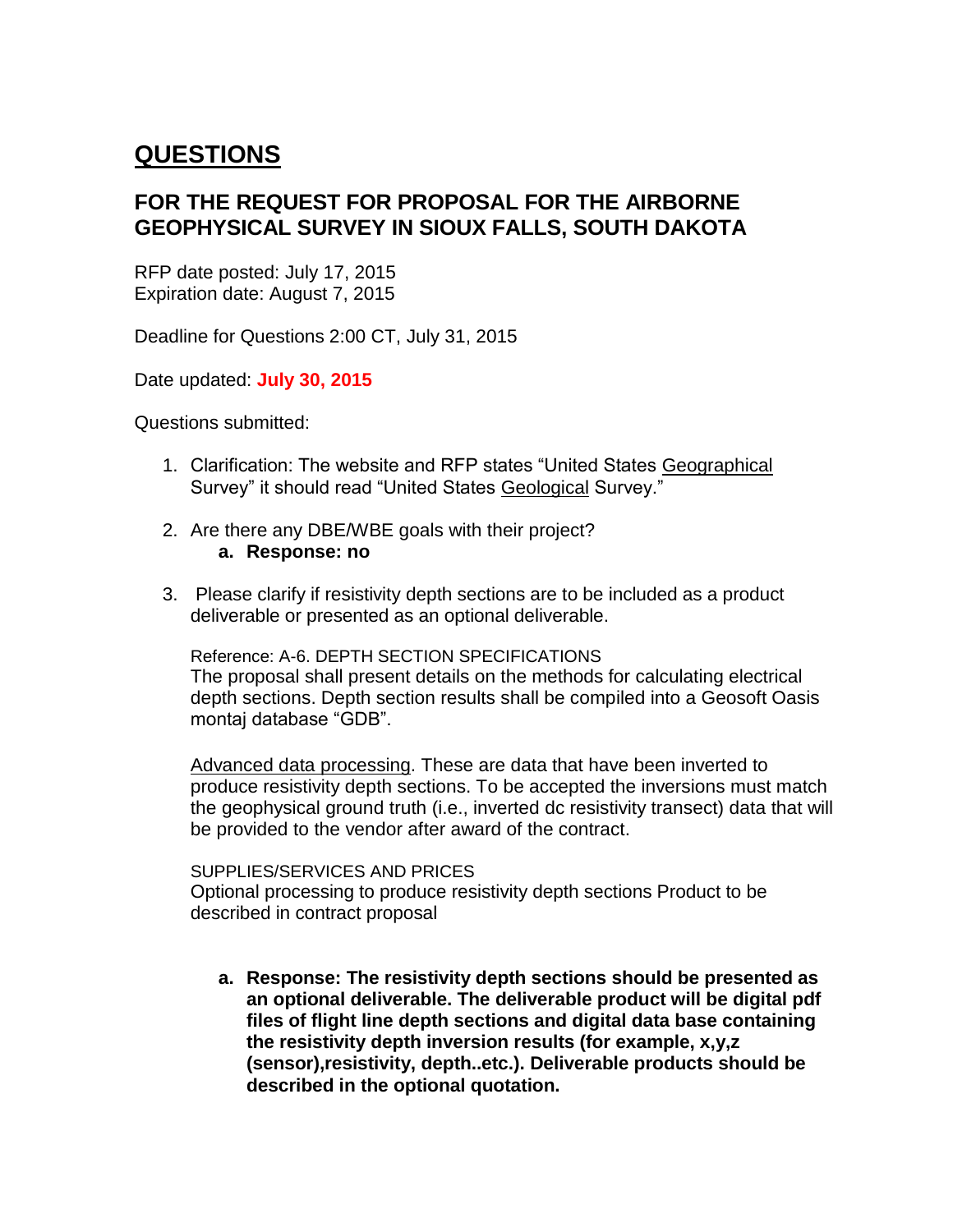# **QUESTIONS**

# **FOR THE REQUEST FOR PROPOSAL FOR THE AIRBORNE GEOPHYSICAL SURVEY IN SIOUX FALLS, SOUTH DAKOTA**

RFP date posted: July 17, 2015 Expiration date: August 7, 2015

Deadline for Questions 2:00 CT, July 31, 2015

Date updated: **July 30, 2015**

Questions submitted:

- 1. Clarification: The website and RFP states "United States Geographical Survey" it should read "United States Geological Survey."
- 2. Are there any DBE/WBE goals with their project? **a. Response: no**
- 3. Please clarify if resistivity depth sections are to be included as a product deliverable or presented as an optional deliverable.

Reference: A-6. DEPTH SECTION SPECIFICATIONS The proposal shall present details on the methods for calculating electrical depth sections. Depth section results shall be compiled into a Geosoft Oasis montaj database "GDB".

Advanced data processing. These are data that have been inverted to produce resistivity depth sections. To be accepted the inversions must match the geophysical ground truth (i.e., inverted dc resistivity transect) data that will be provided to the vendor after award of the contract.

SUPPLIES/SERVICES AND PRICES Optional processing to produce resistivity depth sections Product to be described in contract proposal

**a. Response: The resistivity depth sections should be presented as an optional deliverable. The deliverable product will be digital pdf files of flight line depth sections and digital data base containing the resistivity depth inversion results (for example, x,y,z (sensor),resistivity, depth..etc.). Deliverable products should be described in the optional quotation.**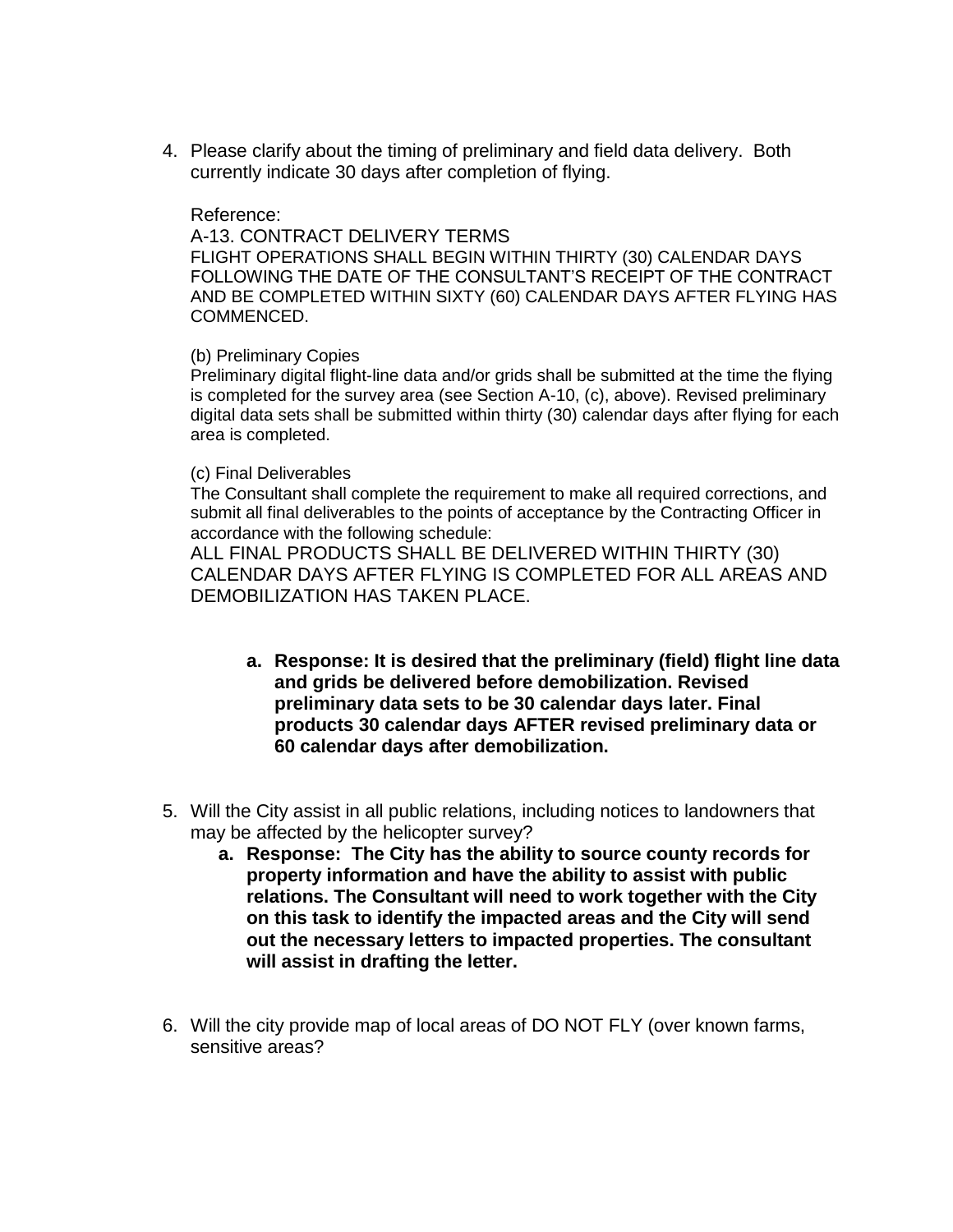4. Please clarify about the timing of preliminary and field data delivery. Both currently indicate 30 days after completion of flying.

## Reference:

A-13. CONTRACT DELIVERY TERMS

FLIGHT OPERATIONS SHALL BEGIN WITHIN THIRTY (30) CALENDAR DAYS FOLLOWING THE DATE OF THE CONSULTANT'S RECEIPT OF THE CONTRACT AND BE COMPLETED WITHIN SIXTY (60) CALENDAR DAYS AFTER FLYING HAS COMMENCED.

### (b) Preliminary Copies

Preliminary digital flight-line data and/or grids shall be submitted at the time the flying is completed for the survey area (see Section A-10, (c), above). Revised preliminary digital data sets shall be submitted within thirty (30) calendar days after flying for each area is completed.

### (c) Final Deliverables

The Consultant shall complete the requirement to make all required corrections, and submit all final deliverables to the points of acceptance by the Contracting Officer in accordance with the following schedule:

ALL FINAL PRODUCTS SHALL BE DELIVERED WITHIN THIRTY (30) CALENDAR DAYS AFTER FLYING IS COMPLETED FOR ALL AREAS AND DEMOBILIZATION HAS TAKEN PLACE.

- **a. Response: It is desired that the preliminary (field) flight line data and grids be delivered before demobilization. Revised preliminary data sets to be 30 calendar days later. Final products 30 calendar days AFTER revised preliminary data or 60 calendar days after demobilization.**
- 5. Will the City assist in all public relations, including notices to landowners that may be affected by the helicopter survey?
	- **a. Response: The City has the ability to source county records for property information and have the ability to assist with public relations. The Consultant will need to work together with the City on this task to identify the impacted areas and the City will send out the necessary letters to impacted properties. The consultant will assist in drafting the letter.**
- 6. Will the city provide map of local areas of DO NOT FLY (over known farms, sensitive areas?